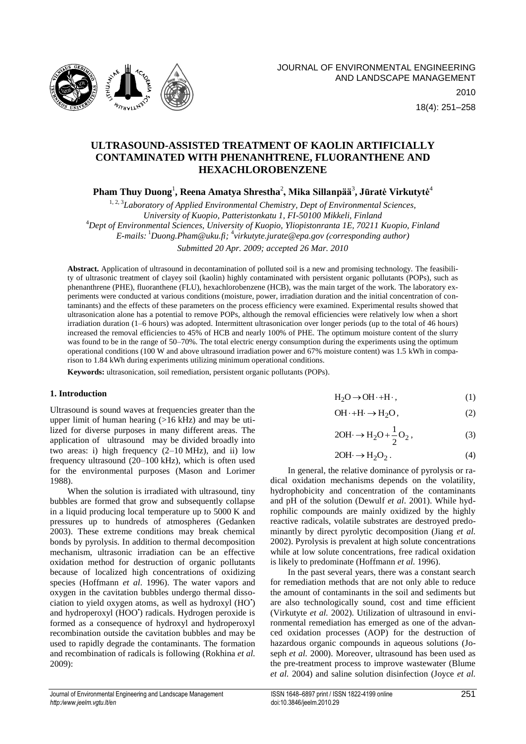

18(4): 251–258

# **ULTRASOUND-ASSISTED TREATMENT OF KAOLIN ARTIFICIALLY CONTAMINATED WITH PHENANHTRENE, FLUORANTHENE AND HEXACHLOROBENZENE**

**Pham Thuy Duong**<sup>1</sup> **, Reena Amatya Shrestha**<sup>2</sup> **, Mika Sillanpää**<sup>3</sup> **, Jūratė Virkutytė** 4

<sup>1, 2, 3</sup>Laboratory of Applied Environmental Chemistry, Dept of Environmental Sciences, *University of Kuopio, Patteristonkatu 1, FI-50100 Mikkeli, Finland*  <sup>4</sup>*Dept of Environmental Sciences, University of Kuopio, Yliopistonranta 1E, 70211 Kuopio, Finland E-mails:* <sup>1</sup>*[Duong.Pham@uku.fi;](mailto:Duong.Pham@uku.fi)* 4 *[virkutyte.jurate@epa.gov](mailto:virkutyte.jurate@epa.gov) (сorresponding author)*

*Submitted 20 Apr. 2009; accepted 26 Mar. 2010*

**Abstract.** Application of ultrasound in decontamination of polluted soil is a new and promising technology. The feasibility of ultrasonic treatment of clayey soil (kaolin) highly contaminated with persistent organic pollutants (POPs), such as phenanthrene (PHE), fluoranthene (FLU), hexachlorobenzene (HCB), was the main target of the work. The laboratory experiments were conducted at various conditions (moisture, power, irradiation duration and the initial concentration of contaminants) and the effects of these parameters on the process efficiency were examined. Experimental results showed that ultrasonication alone has a potential to remove POPs, although the removal efficiencies were relatively low when a short irradiation duration (1–6 hours) was adopted. Intermittent ultrasonication over longer periods (up to the total of 46 hours) increased the removal efficiencies to 45% of HCB and nearly 100% of PHE. The optimum moisture content of the slurry was found to be in the range of 50–70%. The total electric energy consumption during the experiments using the optimum operational conditions (100 W and above ultrasound irradiation power and 67% moisture content) was 1.5 kWh in comparison to 1.84 kWh during experiments utilizing minimum operational conditions.

**Keywords:** ultrasonication, soil remediation, persistent organic pollutants (POPs).

## **1. Introduction**

Ultrasound is sound waves at frequencies greater than the upper limit of human hearing (>16 kHz) and may be utilized for diverse purposes in many different areas. The application of [u](http://www.sciencedirect.com.ezproxy.uku.fi:2048/science?_ob=ArticleURL&_udi=B6V78-4VJ4FH3-4&_user=949847&_coverDate=04%2F01%2F2009&_alid=904579732&_rdoc=14&_fmt=high&_orig=search&_cdi=5836&_sort=d&_st=4&_docanchor=&_ct=264&_acct=C000049130&_version=1&_urlVersion=0&_userid=949847&md5=dcef63c7e800163631326447e3e87d57#hit2)ltrasoun[d](http://www.sciencedirect.com.ezproxy.uku.fi:2048/science?_ob=ArticleURL&_udi=B6V78-4VJ4FH3-4&_user=949847&_coverDate=04%2F01%2F2009&_alid=904579732&_rdoc=14&_fmt=high&_orig=search&_cdi=5836&_sort=d&_st=4&_docanchor=&_ct=264&_acct=C000049130&_version=1&_urlVersion=0&_userid=949847&md5=dcef63c7e800163631326447e3e87d57#hit4) may be divided broadly into two areas: i) high frequency (2–10 MHz), and ii) low frequency ultrasound (20–100 kHz), which is often used for the environmental purposes (Mason and Lorimer 1988).

When the solution is irradiated with ultrasound, tiny bubbles are formed that grow and subsequently collapse in a liquid producing local temperature up to 5000 K and pressures up to hundreds of atmospheres (Gedanken 2003). These extreme conditions may break chemical bonds by pyrolysis. In addition to thermal decomposition mechanism, ultrasonic irradiation can be an effective oxidation method for destruction of organic pollutants because of localized high concentrations of oxidizing species (Hoffmann *et al*. 1996). The water vapors and oxygen in the cavitation bubbles undergo thermal dissociation to yield oxygen atoms, as well as hydroxyl (HO• ) and hydroperoxyl (HOO') radicals. Hydrogen peroxide is formed as a consequence of hydroxyl and hydroperoxyl recombination outside the cavitation bubbles and may be used to rapidly degrade the contaminants. The formation and recombination of radicals is following (Rokhina *et al.* 2009):

 $H_2O \rightarrow OH \cdot + H \cdot$ ,  $(1)$ 

$$
OH \cdot + H \cdot \to H_2O, \tag{2}
$$

$$
2OH \rightarrow H_2O + \frac{1}{2}O_2, \qquad (3)
$$

$$
2OH \rightarrow H_2O_2. \tag{4}
$$

In general, the relative dominance of pyrolysis or radical oxidation mechanisms depends on the volatility, hydrophobicity and concentration of the contaminants and pH of the solution (Dewulf *et al*. 2001). While hydrophilic compounds are mainly oxidized by the highly reactive radicals, volatile substrates are destroyed predominantly by direct pyrolytic decomposition (Jiang *et al.* 2002). Pyrolysis is prevalent at high solute concentrations while at low solute concentrations, free radical oxidation is likely to predominate (Hoffmann *et al.* 1996).

In the past several years, there was a constant search for remediation methods that are not only able to reduce the amount of contaminants in the soil and sediments but are also technologically sound, cost and time efficient (Virkutyte *et al.* 2002). Utilization of ultrasound in environmental remediation has emerged as one of the advanced oxidation processes (AOP) for the destruction of hazardous organic compounds in aqueous solutions (Joseph *et al.* 2000). Moreover, ultrasound has been used as the pre-treatment process to improve wastewater (Blume *et al.* 2004) and saline solution disinfection (Joyce *et al.*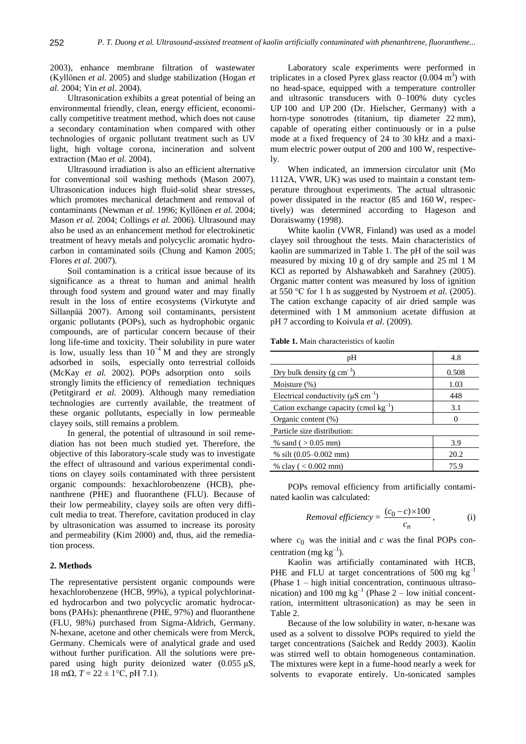2003), enhance membrane filtration of wastewater (Kyllönen *et al*. 2005) and sludge stabilization (Hogan *et al.* 2004; Yin *et al*. 2004).

Ultrasonication exhibits a great potential of being an environmental friendly, clean, energy efficient, economically competitive treatment method, which does not cause a secondary contamination when compared with other technologies of organic pollutant treatment such as UV light, high voltage corona, incineration and solvent extraction (Mao *et al.* 2004).

Ultrasound irradiation is also an efficient alternative for conventional soil washing methods (Mason 2007). Ultrasonication induces high fluid-solid shear stresses, which promotes mechanical detachment and removal of contaminants (Newman *et al.* 1996; Kyllönen *et al.* 2004; Mason *et al.* 2004; Collings *et al.* 2006). Ultrasound may also be used as an enhancement method for electrokinetic treatment of heavy metals and polycyclic aromatic hydrocarbon in contaminated soils (Chung and Kamon 2005; Flores *et al.* 2007).

Soil contamination is a critical issue because of its significance as a threat to human and animal health through food system and ground water and may finally result in the loss of entire ecosystems (Virkutyte and Sillanpää 2007). Among soil contaminants, persistent organic pollutants (POPs), such as hydrophobic organic compounds, are of particular concern because of their long life-time and toxicity. Their solubility in pure water is low, usually less than  $10^{-4}$  M and they are strongly adsorbed in [s](http://www.sciencedirect.com.ezproxy.uku.fi:2048/science?_ob=ArticleURL&_udi=B6V74-4VR1T46-4&_user=949847&_coverDate=05%2F31%2F2009&_alid=904579732&_rdoc=1&_fmt=high&_orig=search&_cdi=5832&_sort=d&_st=4&_docanchor=&_ct=264&_acct=C000049130&_version=1&_urlVersion=0&_userid=949847&md5=593704293213e7bf401e900d95ae8437#hit6)oils[,](http://www.sciencedirect.com.ezproxy.uku.fi:2048/science?_ob=ArticleURL&_udi=B6V74-4VR1T46-4&_user=949847&_coverDate=05%2F31%2F2009&_alid=904579732&_rdoc=1&_fmt=high&_orig=search&_cdi=5832&_sort=d&_st=4&_docanchor=&_ct=264&_acct=C000049130&_version=1&_urlVersion=0&_userid=949847&md5=593704293213e7bf401e900d95ae8437#hit8) especially onto terrestrial colloids (McKay *et al.* 2002). POPs adsorption onto [s](http://www.sciencedirect.com.ezproxy.uku.fi:2048/science?_ob=ArticleURL&_udi=B6V74-4VR1T46-4&_user=949847&_coverDate=05%2F31%2F2009&_alid=904579732&_rdoc=1&_fmt=high&_orig=search&_cdi=5832&_sort=d&_st=4&_docanchor=&_ct=264&_acct=C000049130&_version=1&_urlVersion=0&_userid=949847&md5=593704293213e7bf401e900d95ae8437#hit7)oil[s](http://www.sciencedirect.com.ezproxy.uku.fi:2048/science?_ob=ArticleURL&_udi=B6V74-4VR1T46-4&_user=949847&_coverDate=05%2F31%2F2009&_alid=904579732&_rdoc=1&_fmt=high&_orig=search&_cdi=5832&_sort=d&_st=4&_docanchor=&_ct=264&_acct=C000049130&_version=1&_urlVersion=0&_userid=949847&md5=593704293213e7bf401e900d95ae8437#hit9) strongly limits the efficiency of [r](http://www.sciencedirect.com.ezproxy.uku.fi:2048/science?_ob=ArticleURL&_udi=B6V74-4VR1T46-4&_user=949847&_coverDate=05%2F31%2F2009&_alid=904579732&_rdoc=1&_fmt=high&_orig=search&_cdi=5832&_sort=d&_st=4&_docanchor=&_ct=264&_acct=C000049130&_version=1&_urlVersion=0&_userid=949847&md5=593704293213e7bf401e900d95ae8437#hit8)emediatio[n](http://www.sciencedirect.com.ezproxy.uku.fi:2048/science?_ob=ArticleURL&_udi=B6V74-4VR1T46-4&_user=949847&_coverDate=05%2F31%2F2009&_alid=904579732&_rdoc=1&_fmt=high&_orig=search&_cdi=5832&_sort=d&_st=4&_docanchor=&_ct=264&_acct=C000049130&_version=1&_urlVersion=0&_userid=949847&md5=593704293213e7bf401e900d95ae8437#hit10) techniques (Petitgirard *et al.* 2009). Although many remediation technologies are currently available, the treatment of these organic pollutants, especially in low permeable clayey soils, still remains a problem.

In general, the potential of ultrasound in soil remediation has not been much studied yet. Therefore, the objective of this laboratory-scale study was to investigate the effect of ultrasound and various experimental conditions on clayey soils contaminated with three persistent organic compounds: hexachlorobenzene (HCB), phenanthrene (PHE) and fluoranthene (FLU). Because of their low permeability, clayey soils are often very difficult media to treat. Therefore, cavitation produced in clay by ultrasonication was assumed to increase its porosity and permeability (Kim 2000) and, thus, aid the remediation process.

## **2. Methods**

The representative persistent organic compounds were hexachlorobenzene (HCB, 99%), a typical polychlorinated hydrocarbon and two polycyclic aromatic hydrocarbons (PAHs): phenanthrene (PHE, 97%) and fluoranthene (FLU, 98%) purchased from Sigma-Aldrich, Germany. N-hexane, acetone and other chemicals were from Merck, Germany. Chemicals were of analytical grade and used without further purification. All the solutions were prepared using high purity deionized water (0.055 μS,  $18 \text{ mA}$ ,  $T = 22 \pm 1$ °C, pH 7.1).

Laboratory scale experiments were performed in triplicates in a closed Pyrex glass reactor  $(0.004 \text{ m}^3)$  with no head-space, equipped with a temperature controller and ultrasonic transducers with 0–100% duty cycles UP 100 and UP 200 (Dr. Hielscher, Germany) with a horn-type sonotrodes (titanium, tip diameter 22 mm), capable of operating either continuously or in a pulse mode at a fixed frequency of 24 to 30 kHz and a maximum electric power output of 200 and 100 W, respectively.

When indicated, an immersion circulator unit (Mo 1112A, VWR, UK) was used to maintain a constant temperature throughout experiments. The actual ultrasonic power dissipated in the reactor (85 and 160 W, respectively) was determined according to Hageson and Doraiswamy (1998).

White kaolin (VWR, Finland) was used as a model clayey soil throughout the tests. Main characteristics of kaolin are summarized in Table 1. The pH of the soil was measured by mixing 10 g of dry sample and 25 ml 1 M KCl as reported by Alshawabkeh and Sarahney (2005). Organic matter content was measured by loss of ignition at 550 °C for 1 h as suggested by Nystroem *et al.* (2005). The cation exchange capacity of air dried sample was determined with 1 M ammonium acetate diffusion at pH 7 according to Koivula *et al*. (2009).

**Table 1.** Main characteristics of kaolin

| pН                                                   | 4.8      |
|------------------------------------------------------|----------|
| Dry bulk density ( $g \text{ cm}^{-3}$ )             | 0.508    |
| Moisture (%)                                         | 1.03     |
| Electrical conductivity ( $\mu$ S cm <sup>-1</sup> ) | 448      |
| Cation exchange capacity (cmol $kg^{-1}$ )           | 3.1      |
| Organic content $(\% )$                              | $\left($ |
| Particle size distribution:                          |          |
| % sand ( $> 0.05$ mm)                                | 3.9      |
| % silt $(0.05 - 0.002$ mm)                           | 20.2     |
| % clay ( $< 0.002$ mm)                               | 75.9     |

POPs removal efficiency from artificially contaminated kaolin was calculated:

$$
Removal efficiency = \frac{(c_0 - c) \times 100}{c_n}, \qquad (i)
$$

where  $c_0$  was the initial and  $c$  was the final POPs concentration (mg  $kg^{-1}$ ).

Kaolin was artificially contaminated with HCB, PHE and FLU at target concentrations of 500 mg  $kg^{-1}$ (Phase 1 – high initial concentration, continuous ultrasonication) and  $100 \text{ mg kg}^{-1}$  (Phase 2 – low initial concentration, intermittent ultrasonication) as may be seen in Table 2.

Because of the low solubility in water, n-hexane was used as a solvent to dissolve POPs required to yield the target concentrations (Saichek and Reddy 2003). Kaolin was stirred well to obtain homogeneous contamination. The mixtures were kept in a fume-hood nearly a week for solvents to evaporate entirely. Un-sonicated samples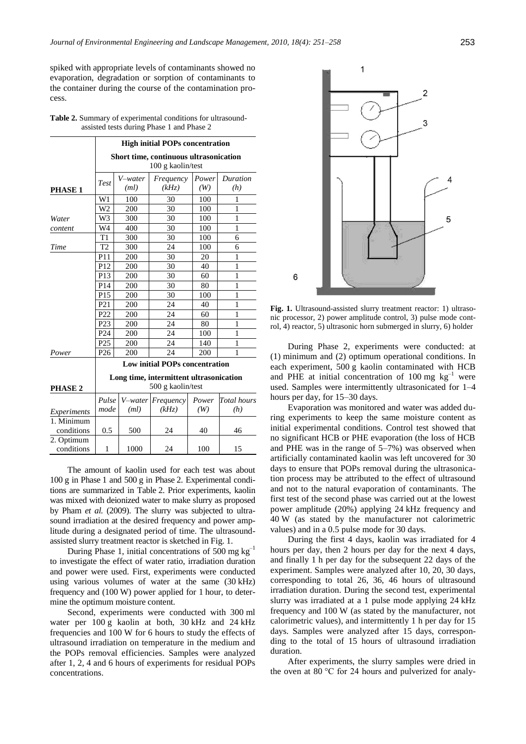spiked with appropriate levels of contaminants showed no evaporation, degradation or sorption of contaminants to the container during the course of the contamination process.

| <b>Table 2.</b> Summary of experimental conditions for ultrasound- |  |
|--------------------------------------------------------------------|--|
| assisted tests during Phase 1 and Phase 2                          |  |

|                          | <b>High initial POPs concentration</b><br>Short time, continuous ultrasonication<br>100 g kaolin/test |         |           |       |             |  |
|--------------------------|-------------------------------------------------------------------------------------------------------|---------|-----------|-------|-------------|--|
|                          |                                                                                                       |         |           |       |             |  |
|                          |                                                                                                       | V-water | Frequency | Power | Duration    |  |
| <b>PHASE 1</b>           | Test                                                                                                  | (ml)    | (kHz)     | (W)   | (h)         |  |
|                          | W1                                                                                                    | 100     | 30        | 100   | 1           |  |
|                          | W <sub>2</sub>                                                                                        | 200     | 30        | 100   | 1           |  |
| Water                    | W <sub>3</sub>                                                                                        | 300     | 30        | 100   | 1           |  |
| content                  | W4                                                                                                    | 400     | 30        | 100   | 1           |  |
|                          | T1                                                                                                    | 300     | 30        | 100   | 6           |  |
| Time                     | T <sub>2</sub>                                                                                        | 300     | 24        | 100   | 6           |  |
|                          | P11                                                                                                   | 200     | 30        | 20    | 1           |  |
|                          | P <sub>12</sub>                                                                                       | 200     | 30        | 40    | 1           |  |
|                          | P13                                                                                                   | 200     | 30        | 60    | 1           |  |
|                          | P <sub>14</sub>                                                                                       | 200     | 30        | 80    | 1           |  |
|                          | P <sub>15</sub>                                                                                       | 200     | 30        | 100   | 1           |  |
|                          | P <sub>21</sub>                                                                                       | 200     | 24        | 40    | 1           |  |
|                          | P <sub>22</sub>                                                                                       | 200     | 24        | 60    | 1           |  |
|                          | P <sub>23</sub>                                                                                       | 200     | 24        | 80    | 1           |  |
|                          | P <sub>24</sub>                                                                                       | 200     | 24        | 100   | 1           |  |
|                          | P <sub>25</sub>                                                                                       | 200     | 24        | 140   | 1           |  |
| Power                    | P <sub>26</sub>                                                                                       | 200     | 24        | 200   | 1           |  |
|                          | <b>Low initial POPs concentration</b>                                                                 |         |           |       |             |  |
|                          | Long time, intermittent ultrasonication                                                               |         |           |       |             |  |
| PHASE <sub>2</sub>       | 500 g kaolin/test                                                                                     |         |           |       |             |  |
|                          | Pulse                                                                                                 | V-water | Frequency | Power | Total hours |  |
| Experiments              | mode                                                                                                  | (ml)    | (kHz)     | (W)   | (h)         |  |
| 1. Minimum               |                                                                                                       |         |           |       |             |  |
| conditions               | 0.5                                                                                                   | 500     | 24        | 40    | 46          |  |
| 2. Optimum<br>conditions | 1                                                                                                     | 1000    | 24        | 100   | 15          |  |
|                          |                                                                                                       |         |           |       |             |  |

The amount of kaolin used for each test was about 100 g in Phase 1 and 500 g in Phase 2. Experimental conditions are summarized in Table 2. Prior experiments, kaolin was mixed with deionized water to make slurry as proposed by Pham *et al.* (2009). The slurry was subjected to ultrasound irradiation at the desired frequency and power amplitude during a designated period of time. The ultrasoundassisted slurry treatment reactor is sketched in Fig. 1.

During Phase 1, initial concentrations of 500 mg  $kg^{-1}$ to investigate the effect of water ratio, irradiation duration and power were used. First, experiments were conducted using various volumes of water at the same (30 kHz) frequency and (100 W) power applied for 1 hour, to determine the optimum moisture content.

Second, experiments were conducted with 300 ml water per 100 g kaolin at both, 30 kHz and 24 kHz frequencies and 100 W for 6 hours to study the effects of ultrasound irradiation on temperature in the medium and the POPs removal efficiencies. Samples were analyzed after 1, 2, 4 and 6 hours of experiments for residual POPs concentrations.



**Fig. 1.** Ultrasound-assisted slurry treatment reactor: 1) ultrasonic processor, 2) power amplitude control, 3) pulse mode control, 4) reactor, 5) ultrasonic horn submerged in slurry, 6) holder

During Phase 2, experiments were conducted: at (1) minimum and (2) optimum operational conditions. In each experiment, 500 g kaolin contaminated with HCB and PHE at initial concentration of 100 mg  $kg^{-1}$  were used. Samples were intermittently ultrasonicated for 1–4 hours per day, for 15–30 days.

Evaporation was monitored and water was added during experiments to keep the same moisture content as initial experimental conditions. Control test showed that no significant HCB or PHE evaporation (the loss of HCB and PHE was in the range of 5–7%) was observed when artificially contaminated kaolin was left uncovered for 30 days to ensure that POPs removal during the ultrasonication process may be attributed to the effect of ultrasound and not to the natural evaporation of contaminants. The first test of the second phase was carried out at the lowest power amplitude (20%) applying 24 kHz frequency and 40 W (as stated by the manufacturer not calorimetric values) and in a 0.5 pulse mode for 30 days.

During the first 4 days, kaolin was irradiated for 4 hours per day, then 2 hours per day for the next 4 days, and finally 1 h per day for the subsequent 22 days of the experiment. Samples were analyzed after 10, 20, 30 days, corresponding to total 26, 36, 46 hours of ultrasound irradiation duration. During the second test, experimental slurry was irradiated at a 1 pulse mode applying 24 kHz frequency and 100 W (as stated by the manufacturer, not calorimetric values), and intermittently 1 h per day for 15 days. Samples were analyzed after 15 days, corresponding to the total of 15 hours of ultrasound irradiation duration.

After experiments, the slurry samples were dried in the oven at 80 °C for 24 hours and pulverized for analy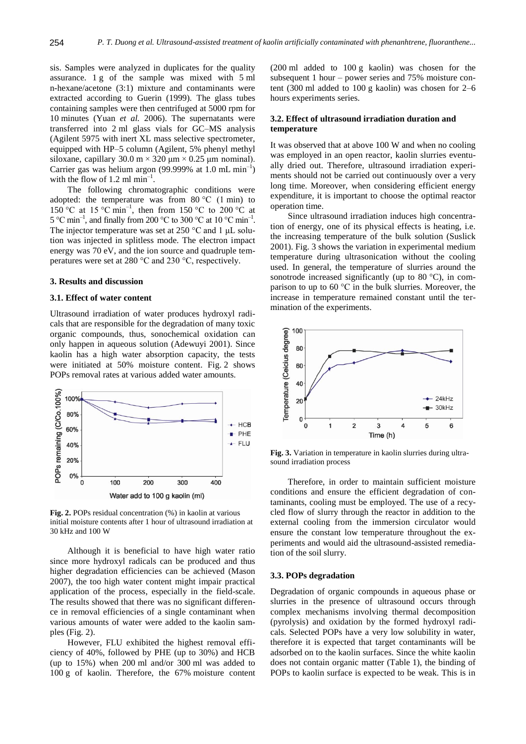sis. Samples were analyzed in duplicates for the quality assurance. 1 g of the sample was mixed with 5 ml n-hexane/acetone (3:1) mixture and contaminants were extracted according to Guerin (1999). The glass tubes containing samples were then centrifuged at 5000 rpm for 10 minutes (Yuan *et al.* 2006). The supernatants were transferred into 2 ml glass vials for GC–MS analysis (Agilent 5975 with inert XL mass selective spectrometer, equipped with HP–5 column (Agilent, 5% phenyl methyl siloxane, capillary  $30.0 \text{ m} \times 320 \text{ µm} \times 0.25 \text{ µm}$  nominal). Carrier gas was helium argon (99.999% at 1.0 mL  $min^{-1}$ ) with the flow of 1.2 ml  $min^{-1}$ .

The following chromatographic conditions were adopted: the temperature was from  $80^{\circ}$ C (1 min) to 150 °C at 15 °C min<sup>-1</sup>, then from 150 °C to 200 °C at 5 °C min<sup>-1</sup>, and finally from 200 °C to 300 °C at 10 °C min<sup>-1</sup>. The injector temperature was set at 250 °C and 1 μL solution was injected in splitless mode. The electron impact energy was 70 eV, and the ion source and quadruple temperatures were set at 280 °C and 230 °C, respectively.

#### **3. Results and discussion**

#### **3.1. Effect of water content**

Ultrasound irradiation of water produces hydroxyl radicals that are responsible for the degradation of many toxic organic compounds, thus, sonochemical oxidation can only happen in aqueous solution (Adewuyi 2001). Since kaolin has a high water absorption capacity, the tests were initiated at 50% moisture content. Fig. 2 shows POPs removal rates at various added water amounts.



**Fig. 2.** POPs residual concentration (%) in kaolin at various initial moisture contents after 1 hour of ultrasound irradiation at 30 kHz and 100 W

Although it is beneficial to have high water ratio since more hydroxyl radicals can be produced and thus higher degradation efficiencies can be achieved (Mason 2007), the too high water content might impair practical application of the process, especially in the field-scale. The results showed that there was no significant difference in removal efficiencies of a single contaminant when various amounts of water were added to the kaolin samples (Fig. 2).

However, FLU exhibited the highest removal efficiency of 40%, followed by PHE (up to 30%) and HCB (up to 15%) when 200 ml and/or 300 ml was added to 100 g of kaolin. Therefore, the 67% moisture content (200 ml added to 100 g kaolin) was chosen for the subsequent 1 hour – power series and 75% moisture content (300 ml added to 100 g kaolin) was chosen for 2–6 hours experiments series.

## **3.2. Effect of ultrasound irradiation duration and temperature**

It was observed that at above 100 W and when no cooling was employed in an open reactor, kaolin slurries eventually dried out. Therefore, ultrasound irradiation experiments should not be carried out continuously over a very long time. Moreover, when considering efficient energy expenditure, it is important to choose the optimal reactor operation time.

Since ultrasound irradiation induces high concentration of energy, one of its physical effects is heating, i.e. the increasing temperature of the bulk solution (Suslick 2001). Fig. 3 shows the variation in experimental medium temperature during ultrasonication without the cooling used. In general, the temperature of slurries around the sonotrode increased significantly (up to 80  $^{\circ}$ C), in comparison to up to 60 °C in the bulk slurries. Moreover, the increase in temperature remained constant until the termination of the experiments.



**Fig. 3.** Variation in temperature in kaolin slurries during ultrasound irradiation process

Therefore, in order to maintain sufficient moisture conditions and ensure the efficient degradation of contaminants, cooling must be employed. The use of a recycled flow of slurry through the reactor in addition to the external cooling from the immersion circulator would ensure the constant low temperature throughout the experiments and would aid the ultrasound-assisted remediation of the soil slurry.

#### **3.3. POPs degradation**

Degradation of organic compounds in aqueous phase or slurries in the presence of ultrasound occurs through complex mechanisms involving thermal decomposition (pyrolysis) and oxidation by the formed hydroxyl radicals. Selected POPs have a very low solubility in water, therefore it is expected that target contaminants will be adsorbed on to the kaolin surfaces. Since the white kaolin does not contain organic matter (Table 1), the binding of POPs to kaolin surface is expected to be weak. This is in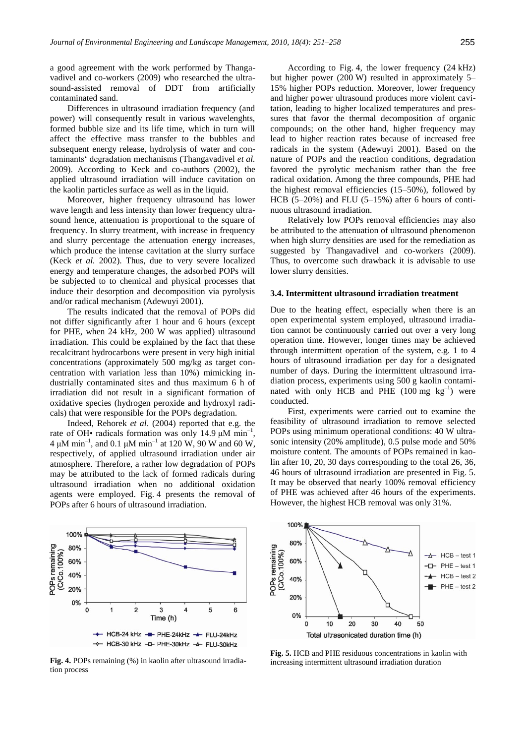a good agreement with the work performed by Thangavadivel and co-workers (2009) who researched the ultrasound-assisted removal of DDT from artificially contaminated sand.

Differences in ultrasound irradiation frequency (and power) will consequently result in various wavelenghts, formed bubble size and its life time, which in turn will affect the effective mass transfer to the bubbles and subsequent energy release, hydrolysis of water and contaminants" degradation mechanisms (Thangavadivel *et al.* 2009). According to Keck and co-authors (2002), the applied ultrasound irradiation will induce cavitation on the kaolin particles surface as well as in the liquid.

Moreover, higher frequency ultrasound has lower wave length and less intensity than lower frequency ultrasound hence, attenuation is proportional to the square of frequency. In slurry treatment, with increase in frequency and slurry percentage the attenuation energy increases, which produce the intense cavitation at the slurry surface (Keck *et al.* 2002). Thus, due to very severe localized energy and temperature changes, the adsorbed POPs will be subjected to to chemical and physical processes that induce their desorption and decomposition via pyrolysis and/or radical mechanism (Adewuyi 2001).

The results indicated that the removal of POPs did not differ significantly after 1 hour and 6 hours (except for PHE, when 24 kHz, 200 W was applied) ultrasound irradiation. This could be explained by the fact that these recalcitrant hydrocarbons were present in very high initial concentrations (approximately 500 mg/kg as target concentration with variation less than 10%) mimicking industrially contaminated sites and thus maximum 6 h of irradiation did not result in a significant formation of oxidative species (hydrogen peroxide and hydroxyl radicals) that were responsible for the POPs degradation.

Indeed, Rehorek *et al*. (2004) reported that e.g. the rate of OH• radicals formation was only 14.9  $\mu$ M min<sup>-1</sup>, 4  $\mu$ M min<sup>-1</sup>, and 0.1  $\mu$ M min<sup>-1</sup> at 120 W, 90 W and 60 W, respectively, of applied ultrasound irradiation under air atmosphere. Therefore, a rather low degradation of POPs may be attributed to the lack of formed radicals during ultrasound irradiation when no additional oxidation agents were employed. Fig. 4 presents the removal of POPs after 6 hours of ultrasound irradiation.



**Fig. 4.** POPs remaining (%) in kaolin after ultrasound irradiation process

According to Fig. 4, the lower frequency (24 kHz) but higher power (200 W) resulted in approximately 5– 15% higher POPs reduction. Moreover, lower frequency and higher power ultrasound produces more violent cavitation, leading to higher localized temperatures and pressures that favor the thermal decomposition of organic compounds; on the other hand, higher frequency may lead to higher reaction rates because of increased free radicals in the system (Adewuyi 2001). Based on the nature of POPs and the reaction conditions, degradation favored the pyrolytic mechanism rather than the free radical oxidation. Among the three compounds, PHE had the highest removal efficiencies (15–50%), followed by HCB (5–20%) and FLU (5–15%) after 6 hours of continuous ultrasound irradiation.

Relatively low POPs removal efficiencies may also be attributed to the attenuation of ultrasound phenomenon when high slurry densities are used for the remediation as suggested by Thangavadivel and co-workers (2009). Thus, to overcome such drawback it is advisable to use lower slurry densities.

#### **3.4. Intermittent ultrasound irradiation treatment**

Due to the heating effect, especially when there is an open experimental system employed, ultrasound irradiation cannot be continuously carried out over a very long operation time. However, longer times may be achieved through intermittent operation of the system, e.g. 1 to 4 hours of ultrasound irradiation per day for a designated number of days. During the intermittent ultrasound irradiation process, experiments using 500 g kaolin contaminated with only HCB and PHE  $(100 \text{ mg } \text{kg}^{-1})$  were conducted.

First, experiments were carried out to examine the feasibility of ultrasound irradiation to remove selected POPs using minimum operational conditions: 40 W ultrasonic intensity (20% amplitude), 0.5 pulse mode and 50% moisture content. The amounts of POPs remained in kaolin after 10, 20, 30 days corresponding to the total 26, 36, 46 hours of ultrasound irradiation are presented in Fig. 5. It may be observed that nearly 100% removal efficiency of PHE was achieved after 46 hours of the experiments. However, the highest HCB removal was only 31%.



**Fig. 5.** HCB and PHE residuous concentrations in kaolin with increasing intermittent ultrasound irradiation duration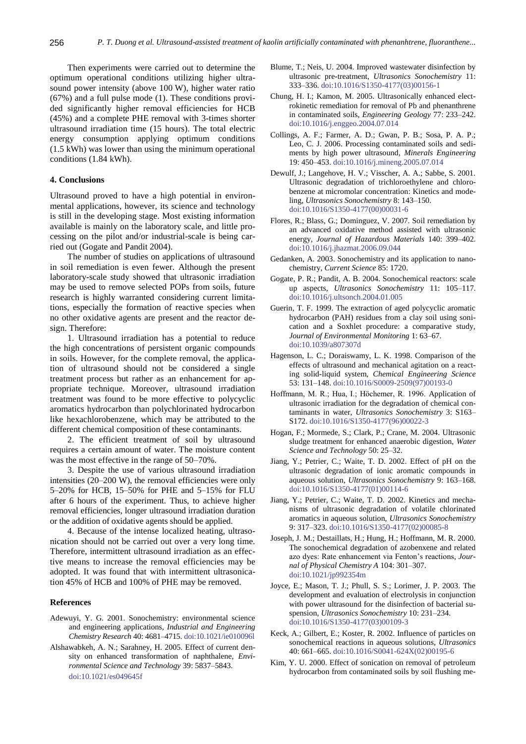Then experiments were carried out to determine the optimum operational conditions utilizing higher ultrasound power intensity (above 100 W), higher water ratio (67%) and a full pulse mode (1). These conditions provided significantly higher removal efficiencies for HCB (45%) and a complete PHE removal with 3-times shorter ultrasound irradiation time (15 hours). The total electric energy consumption applying optimum conditions (1.5 kWh) was lower than using the minimum operational conditions (1.84 kWh).

## **4. Conclusions**

Ultrasound proved to have a high potential in environmental applications, however, its science and technology is still in the developing stage. Most existing information available is mainly on the laboratory scale, and little processing on the pilot and/or industrial-scale is being carried out (Gogate and Pandit 2004).

The number of studies on applications of ultrasound in soil remediation is even fewer. Although the present laboratory-scale study showed that ultrasonic irradiation may be used to remove selected POPs from soils, future research is highly warranted considering current limitations, especially the formation of reactive species when no other oxidative agents are present and the reactor design. Therefore:

1. Ultrasound irradiation has a potential to reduce the high concentrations of persistent organic compounds in soils. However, for the complete removal, the application of ultrasound should not be considered a single treatment process but rather as an enhancement for appropriate technique. Moreover, ultrasound irradiation treatment was found to be more effective to polycyclic aromatics hydrocarbon than polychlorinated hydrocarbon like hexachlorobenzene, which may be attributed to the different chemical composition of these contaminants.

2. The efficient treatment of soil by ultrasound requires a certain amount of water. The moisture content was the most effective in the range of 50–70%.

3. Despite the use of various ultrasound irradiation intensities (20–200 W), the removal efficiencies were only 5–20% for HCB, 15–50% for PHE and 5–15% for FLU after 6 hours of the experiment. Thus, to achieve higher removal efficiencies, longer ultrasound irradiation duration or the addition of oxidative agents should be applied.

4. Because of the intense localized heating, ultrasonication should not be carried out over a very long time. Therefore, intermittent ultrasound irradiation as an effective means to increase the removal efficiencies may be adopted. It was found that with intermittent ultrasonication 45% of HCB and 100% of PHE may be removed.

### **References**

- Adewuyi, Y. G. 2001. Sonochemistry: environmental science and engineering applications, *Industrial and Engineering Chemistry Research* 40: 4681–4715[. doi:10.1021/ie010096l](http://dx.doi.org/10.1021/ie010096l)
- Alshawabkeh, A. N.; Sarahney, H. 2005. Effect of current density on enhanced transformation of naphthalene, *Environmental Science and Technology* 39: 5837–5843. [doi:10.1021/es049645f](http://dx.doi.org/10.1021/es049645f)
- Blume, T.; Neis, U. 2004. Improved wastewater disinfection by ultrasonic pre-treatment, *Ultrasonics Sonochemistry* 11: 333–336[. doi:10.1016/S1350-4177\(03\)00156-1](http://dx.doi.org/10.1016/S1350-4177(03)00156-1)
- Chung, H. I.; Kamon, M. 2005. Ultrasonically enhanced electrokinetic remediation for removal of Pb and phenanthrene in contaminated soils, *Engineering Geology* 77: 233–242. [doi:10.1016/j.enggeo.2004.07.014](http://dx.doi.org/10.1016/j.enggeo.2004.07.014)
- Collings, A. F.; Farmer, A. D.; Gwan, P. B.; Sosa, P. A. P.; Leo, C. J. 2006. Processing contaminated soils and sediments by high power ultrasound, *Minerals Engineering* 19: 450–453[. doi:10.1016/j.mineng.2005.07.014](http://dx.doi.org/10.1016/j.mineng.2005.07.014)
- Dewulf, J.; Langehove, H. V.; Visscher, A. A.; Sabbe, S. 2001. Ultrasonic degradation of trichloroethylene and chlorobenzene at micromolar concentration: Kinetics and modeling, *Ultrasonics Sonochemistry* 8: 143–150. [doi:10.1016/S1350-4177\(00\)00031-6](http://dx.doi.org/10.1016/S1350-4177(00)00031-6)
- Flores, R.; Blass, G.; Dominguez, V. 2007. Soil remediation by an advanced oxidative method assisted with ultrasonic energy, *Journal of Hazardous Materials* 140: 399–402. [doi:10.1016/j.jhazmat.2006.09.044](http://dx.doi.org/10.1016/j.jhazmat.2006.09.044)
- Gedanken, A. 2003. Sonochemistry and its application to nanochemistry, *Current Science* 85: 1720.
- Gogate, P. R.; Pandit, A. B. 2004. Sonochemical reactors: scale up aspects, *Ultrasonics Sonochemistry* 11: 105–117. [doi:10.1016/j.ultsonch.2004.01.005](http://dx.doi.org/10.1016/j.ultsonch.2004.01.005)
- Guerin, T. F. 1999. The extraction of aged polycyclic aromatic hydrocarbon (PAH) residues from a clay soil using sonication and a Soxhlet procedure: a comparative study, *Journal of Environmental Monitoring* 1: 63–67. [doi:10.1039/a807307d](http://dx.doi.org/10.1039/a807307d)
- Hagenson, L. C.; Doraiswamy, L. K. 1998. Comparison of the effects of ultrasound and mechanical agitation on a reacting solid-liquid system, *Chemical Engineering Science*  53: 131–148[. doi:10.1016/S0009-2509\(97\)00193-0](http://dx.doi.org/10.1016/S0009-2509(97)00193-0)
- Hoffmann, M. R.; Hua, I.; Höchemer, R. 1996. Application of ultrasonic irradiation for the degradation of chemical contaminants in water, *Ultrasonics Sonochemistry* 3: S163– S172[. doi:10.1016/S1350-4177\(96\)00022-3](http://dx.doi.org/10.1016/S1350-4177(96)00022-3)
- Hogan, F.; Mormede, S.; Clark, P.; Crane, M. 2004. Ultrasonic sludge treatment for enhanced anaerobic digestion, *Water Science and Technology* 50: 25–32.
- Jiang, Y.; Petrier, C.; Waite, T. D. 2002. Effect of pH on the ultrasonic degradation of ionic aromatic compounds in aqueous solution, *Ultrasonics Sonochemistry* 9: 163–168. [doi:10.1016/S1350-4177\(01\)00114-6](http://dx.doi.org/10.1016/S1350-4177(01)00114-6)
- Jiang, Y.; Petrier, C.; Waite, T. D. 2002. Kinetics and mechanisms of ultrasonic degradation of volatile chlorinated aromatics in aqueous solution, *Ultrasonics Sonochemistry* 9: 317–323[. doi:10.1016/S1350-4177\(02\)00085-8](http://dx.doi.org/10.1016/S1350-4177(02)00085-8)
- Joseph, J. M.; Destaillats, H.; Hung, H.; Hoffmann, M. R. 2000. The sonochemical degradation of azobenxene and related azo dyes: Rate enhancement via Fenton"s reactions, *Journal of Physical Chemistry A* 104: 301–307. [doi:10.1021/jp992354m](http://dx.doi.org/10.1021/jp992354m)
- Joyce, E.; Mason, T. J.; Phull, S. S.; Lorimer, J. P. 2003. The development and evaluation of electrolysis in conjunction with power ultrasound for the disinfection of bacterial suspension, *Ultrasonics Sonochemistry* 10: 231–234. [doi:10.1016/S1350-4177\(03\)00109-3](http://dx.doi.org/10.1016/S1350-4177(03)00109-3)
- Keck, A.; Gilbert, E.; Koster, R. 2002. Influence of particles on sonochemical reactions in aqueous solutions, *Ultrasonics* 40: 661–665[. doi:10.1016/S0041-624X\(02\)00195-6](http://dx.doi.org/10.1016/S0041-624X(02)00195-6)
- Kim, Y. U. 2000. Effect of sonication on removal of petroleum hydrocarbon from contaminated soils by soil flushing me-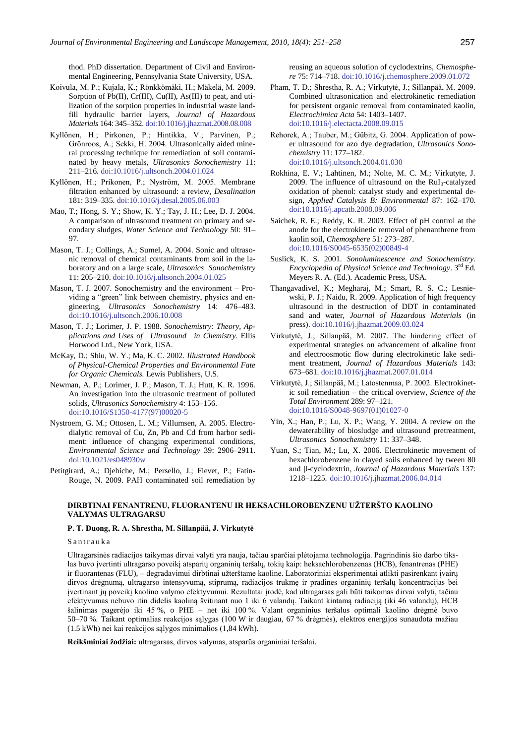thod. PhD dissertation. Department of Civil and Environmental Engineering, Pennsylvania State University, USA.

- Koivula, M. P.; Kujala, K.; Rönkkömäki, H.; Mäkelä, M. 2009. Sorption of Pb(II), Cr(III), Cu(II), As(III) to peat, and utilization of the sorption properties in industrial waste landfill hydraulic barrier layers, *Journal of Hazardous Materials* 164: 345–352[. doi:10.1016/j.jhazmat.2008.08.008](http://dx.doi.org/10.1016/j.jhazmat.2008.08.008)
- Kyllönen, H.; Pirkonen, P.; Hintikka, V.; Parvinen, P.; Grönroos, A.; Sekki, H. 2004. Ultrasonically aided mineral processing technique for remediation of soil contaminated by heavy metals, *Ultrasonics Sonochemistry* 11: 211–216. [doi:10.1016/j.ultsonch.2004.01.024](http://dx.doi.org/10.1016/j.ultsonch.2004.01.024)
- Kyllönen, H.; Prikonen, P.; Nyström, M. 2005. Membrane filtration enhanced by ultrasound: a review, *Desalination* 181: 319–335[. doi:10.1016/j.desal.2005.06.003](http://dx.doi.org/10.1016/j.desal.2005.06.003)
- Mao, T.; Hong, S. Y.; Show, K. Y.; Tay, J. H.; Lee, D. J. 2004. A comparison of ultrasound treatment on primary and secondary sludges, *Water Science and Technology* 50: 91– 97.
- Mason, T. J.; Collings, A.; Sumel, A. 2004. Sonic and ultrasonic removal of chemical contaminants from soil in the laboratory and on a large scale, *Ultrasonics Sonochemistry* 11: 205–210. [doi:10.1016/j.ultsonch.2004.01.025](http://dx.doi.org/10.1016/j.ultsonch.2004.01.025)
- Mason, T. J. 2007. Sonochemistry and the environment Providing a "green" link between chemistry, physics and engineering, *Ultrasonics Sonochemistry* 14: 476–483. [doi:10.1016/j.ultsonch.2006.10.008](http://dx.doi.org/10.1016/j.ultsonch.2006.10.008)
- Mason, T. J.; Lorimer, J. P. 1988. *Sonochemistry: Theory, Applications and Uses of [U](http://www.sciencedirect.com.ezproxy.uku.fi:2048/science?_ob=ArticleURL&_udi=B6V78-4VJ4FH3-4&_user=949847&_coverDate=04%2F01%2F2009&_alid=904579732&_rdoc=14&_fmt=high&_orig=search&_cdi=5836&_sort=d&_st=4&_docanchor=&_ct=264&_acct=C000049130&_version=1&_urlVersion=0&_userid=949847&md5=dcef63c7e800163631326447e3e87d57#hit61)ltrasoun[d](http://www.sciencedirect.com.ezproxy.uku.fi:2048/science?_ob=ArticleURL&_udi=B6V78-4VJ4FH3-4&_user=949847&_coverDate=04%2F01%2F2009&_alid=904579732&_rdoc=14&_fmt=high&_orig=search&_cdi=5836&_sort=d&_st=4&_docanchor=&_ct=264&_acct=C000049130&_version=1&_urlVersion=0&_userid=949847&md5=dcef63c7e800163631326447e3e87d57#hit63) in Chemistry*. Ellis Horwood Ltd., New York, USA.
- McKay, D.; Shiu, W. Y.; Ma, K. C. 2002. *Illustrated Handbook of Physical-Chemical Properties and Environmental Fate for Organic Chemicals.* Lewis Publishers, U.S.
- Newman, A. P.; Lorimer, J. P.; Mason, T. J.; Hutt, K. R. 1996. An investigation into the ultrasonic treatment of polluted solids, *Ultrasonics Sonochemistry* 4: 153–156. [doi:10.1016/S1350-4177\(97\)00020-5](http://dx.doi.org/10.1016/S1350-4177(97)00020-5)
- Nystroem, G. M.; Ottosen, L. M.; Villumsen, A. 2005. Electrodialytic removal of Cu, Zn, Pb and Cd from harbor sediment: influence of changing experimental conditions, *Environmental Science and Technology* 39: 2906–2911. [doi:10.1021/es048930w](http://dx.doi.org/10.1021/es048930w)
- Petitgirard, A.; Djehiche, M.; Persello, J.; Fievet, P.; Fatin-Rouge, N. 2009. PAH contaminated soil remediation by

reusing an aqueous solution of cyclodextrins, *Chemosphere* 75: 714–718. [doi:10.1016/j.chemosphere.2009.01.072](http://dx.doi.org/10.1016/j.chemosphere.2009.01.072)

- Pham, T. D.; Shrestha, R. A.; Virkutytė, J.; Sillanpää, M. 2009. Combined ultrasonication and electrokinetic remediation for persistent organic removal from contaminated kaolin, *Electrochimica Acta* 54: 1403–1407. [doi:10.1016/j.electacta.2008.09.015](http://dx.doi.org/10.1016/j.electacta.2008.09.015)
- Rehorek, A.; Tauber, M.; Gübitz, G. 2004. Application of power ultrasound for azo dye degradation, *Ultrasonics Sonochemistry* 11: 177–182. [doi:10.1016/j.ultsonch.2004.01.030](http://dx.doi.org/10.1016/j.ultsonch.2004.01.030)
- Rokhina, E. V.; Lahtinen, M.; Nolte, M. C. M.; Virkutyte, J. 2009. The influence of ultrasound on the  $RuI<sub>3</sub>$ -catalyzed oxidation of phenol: catalyst study and experimental design, *Applied Catalysis B: Environmental* 87: 162–170. [doi:10.1016/j.apcatb.2008.09.006](http://dx.doi.org/10.1016/j.apcatb.2008.09.006)
- Saichek, R. E.; Reddy, K. R. 2003. Effect of pH control at the anode for the electrokinetic removal of phenanthrene from kaolin soil, *Chemosphere* 51: 273–287. [doi:10.1016/S0045-6535\(02\)00849-4](http://dx.doi.org/10.1016/S0045-6535(02)00849-4)
- Suslick, K. S. 2001. *Sonoluminescence and Sonochemistry. Encyclopedia of Physical Science and Technology*. 3 rd Ed. Meyers R. A. (Ed.). Academic Press, USA.
- Thangavadivel, K.; Megharaj, M.; Smart, R. S. C.; Lesniewski, P. J.; Naidu, R. 2009. Application of high frequency ultrasound in the destruction of DDT in contaminated sand and water, *Journal of Hazardous Materials* (in press). [doi:10.1016/j.jhazmat.2009.03.024](http://dx.doi.org/10.1016/j.jhazmat.2009.03.024)
- Virkutytė, J.; Sillanpää, M. 2007. The hindering effect of experimental strategies on advancement of alkaline front and electroosmotic flow during electrokinetic lake sediment treatment, *Journal of Hazardous Materials* 143: 673–681[. doi:10.1016/j.jhazmat.2007.01.014](http://dx.doi.org/10.1016/j.jhazmat.2007.01.014)
- Virkutytė, J.; Sillanpää, M.; Latostenmaa, P. 2002. Electrokinetic soil remediation – the critical overview, *Science of the Total Environment* 289: 97–121. [doi:10.1016/S0048-9697\(01\)01027-0](http://dx.doi.org/10.1016/S0048-9697(01)01027-0)
- Yin, X.; Han, P.; Lu, X. P.; Wang, Y. 2004. A review on the dewaterability of biosludge and ultrasound pretreatment, *Ultrasonics Sonochemistry* 11: 337–348.
- Yuan, S.; Tian, M.; Lu, X. 2006. Electrokinetic movement of hexachlorobenzene in clayed soils enhanced by tween 80 and β-cyclodextrin, *Journal of Hazardous Materials* 137: 1218–1225. [doi:10.1016/j.jhazmat.2006.04.014](http://dx.doi.org/10.1016/j.jhazmat.2006.04.014)

#### **DIRBTINAI FENANTRENU, FLUORANTENU IR HEKSACHLOROBENZENU UŽTERŠTO KAOLINO VALYMAS ULTRAGARSU**

#### **P. T. Duong, R. A. Shrestha, M. Sillanpää, J. Virkutytė**

Santrauka

Ultragarsinės radiacijos taikymas dirvai valyti yra nauja, tačiau sparčiai plėtojama technologija. Pagrindinis šio darbo tikslas buvo įvertinti ultragarso poveikį atsparių organinių teršalų, tokių kaip: heksachlorobenzenas (HCB), fenantrenas (PHE) ir fluorantenas (FLU), – degradavimui dirbtinai užterštame kaoline. Laboratoriniai eksperimentai atlikti pasirenkant įvairų dirvos drėgnumą, ultragarso intensyvumą, stiprumą, radiacijos trukmę ir pradines organinių teršalų koncentracijas bei įvertinant jų poveikį kaolino valymo efektyvumui. Rezultatai įrodė, kad ultragarsas gali būti taikomas dirvai valyti, tačiau efektyvumas nebuvo itin didelis kaoliną švitinant nuo 1 iki 6 valandų. Taikant kintamą radiaciją (iki 46 valandų), HCB šalinimas pagerėjo iki 45 %, o PHE – net iki 100 %. Valant organinius teršalus optimali kaolino drėgmė buvo 50–70 %. Taikant optimalias reakcijos sąlygas (100 W ir daugiau, 67 % drėgmės), elektros energijos sunaudota mažiau (1.5 kWh) nei kai reakcijos sąlygos minimalios (1,84 kWh).

Reikšminiai žodžiai: ultragarsas, dirvos valymas, atsparūs organiniai teršalai.